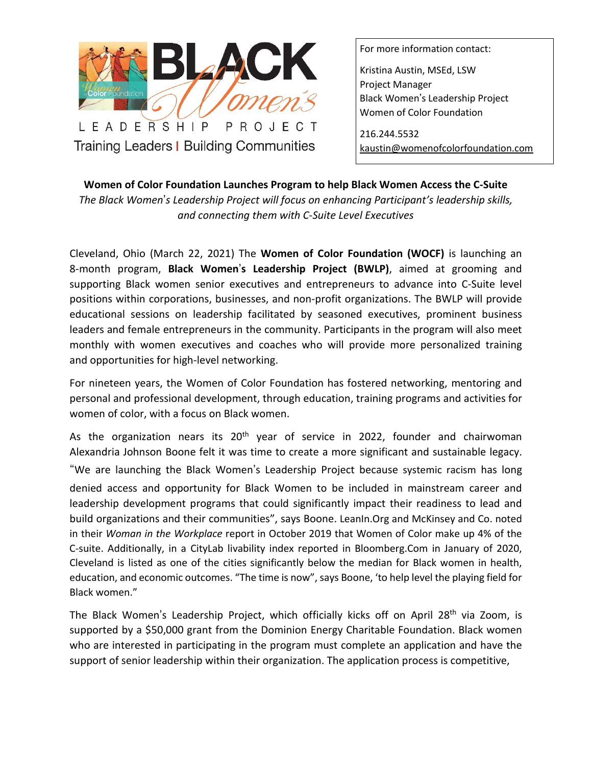

LEADERSHIP PROJECT Training Leaders | Building Communities

For more information contact:

Kristina Austin, MSEd, LSW Project Manager Black Women's Leadership Project Women of Color Foundation

216.244.5532 [kaustin@womenofcolorfoundation.com](mailto:kaustin@womenofcolorfoundation.com)

**Women of Color Foundation Launches Program to help Black Women Access the C-Suite** 

*The Black Women*'*s Leadership Project will focus on enhancing [Participant's](mailto:austin@womenofcolorfoundation.com) leadership skills, and connecting them with C-Suite Level Executives* 

Cleveland, Ohio (March 22, 2021) The **Women of Color Foundation (WOCF)** is launching an 8-month program, **Black Women**'**s Leadership Project (BWLP)**, aimed at grooming and supporting Black women senior executives and entrepreneurs to advance into C-Suite level positions within corporations, businesses, and non-profit organizations. The BWLP will provide educational sessions on leadership facilitated by seasoned executives, prominent business leaders and female entrepreneurs in the community. Participants in the program will also meet monthly with women executives and coaches who will provide more personalized training and opportunities for high-level networking.

For nineteen years, the Women of Color Foundation has fostered networking, mentoring and personal and professional development, through education, training programs and activities for women of color, with a focus on Black women.

As the organization nears its  $20<sup>th</sup>$  year of service in 2022, founder and chairwoman Alexandria Johnson Boone felt it was time to create a more significant and sustainable legacy. "We are launching the Black Women's Leadership Project because systemic racism has long denied access and opportunity for Black Women to be included in mainstream career and leadership development programs that could significantly impact their readiness to lead and build organizations and their communities", says Boone. LeanIn.Org and McKinsey and Co. noted in their *Woman in the Workplace* report in October 2019 that Women of Color make up 4% of the C-suite. Additionally, in a CityLab livability index reported in Bloomberg.Com in January of 2020, Cleveland is listed as one of the cities significantly below the median for Black women in health, education, and economic outcomes. "The time is now", says Boone, 'to help level the playing field for Black women."

The Black Women's Leadership Project, which officially kicks off on April 28<sup>th</sup> via Zoom, is supported by a \$50,000 grant from the Dominion Energy Charitable Foundation. Black women who are interested in participating in the program must complete an application and have the support of senior leadership within their organization. The application process is competitive,